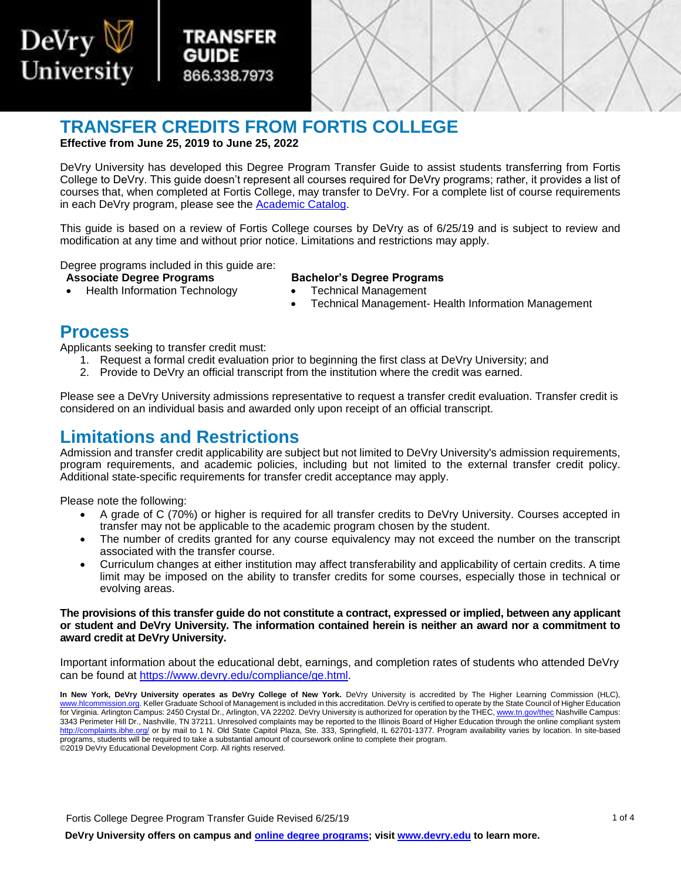

**TRANSFER CREDITS FROM FORTIS COLLEGE Effective from June 25, 2019 to June 25, 2022** 

Transfer TRANSFER

866.338.7973  [866.338.7973](http://www.devry.edu) 

Guide

GUIDE

 DeVry University has developed this Degree Program Transfer Guide to assist students transferring from Fortis College to DeVry. This guide doesn't represent all courses required for DeVry programs; rather, it provides a list of courses that, when completed at Fortis College, may transfer to DeVry. For a complete list of course requirements in each DeVry program, please see the [Academic Catalog.](http://www.devry.edu/catalogs)

 This guide is based on a review of Fortis College courses by DeVry as of 6/25/19 and is subject to review and modification at any time and without prior notice. Limitations and restrictions may apply.

Degree programs included in this guide are:<br>**Associate Degree Programs** 

- 
- Health Information Technology **•** Technical Management

#### **Associate Degree Programs Bachelor's Degree Programs**

- 
- Technical Management- Health Information Management

### **Process**

Applicants seeking to transfer credit must:

- 1. Request a formal credit evaluation prior to beginning the first class at DeVry University; and
- 2. Provide to DeVry an official transcript from the institution where the credit was earned.

Please see a DeVry University admissions representative to request a transfer credit evaluation. Transfer credit is considered on an individual basis and awarded only upon receipt of an official transcript.

### **Limitations and Restrictions**

Admission and transfer credit applicability are subject but not limited to DeVry University's admission requirements, program requirements, and academic policies, including but not limited to the external transfer credit policy. Additional state-specific requirements for transfer credit acceptance may apply.

Please note the following:

- A grade of C (70%) or higher is required for all transfer credits to DeVry University. Courses accepted in transfer may not be applicable to the academic program chosen by the student.
- The number of credits granted for any course equivalency may not exceed the number on the transcript associated with the transfer course.
- limit may be imposed on the ability to transfer credits for some courses, especially those in technical or Curriculum changes at either institution may affect transferability and applicability of certain credits. A time evolving areas.

#### **The provisions of this transfer guide do not constitute a contract, expressed or implied, between any applicant or student and DeVry University. The information contained herein is neither an award nor a commitment to award credit at DeVry University.**

Important information about the educational debt, earnings, and completion rates of students who attended DeVry can be found at [https://www.devry.edu/compliance/ge.html.](https://www.devry.edu/compliance/ge.html)

 **In New York, DeVry University operates as DeVry College of New York.** DeVry University is accredited by The Higher Learning Commission (HLC), [www.hlcommission.org.](http://www.hlcommission.org/) Keller Graduate School of Management is included in this accreditation. DeVry is certified to operate by the State Council of Higher Education for Virginia. Arlington Campus: 2450 Crystal Dr., Arlington, VA 22202. DeVry University is authorized for operation by the THEC[, www.tn.gov/thec N](http://www.tn.gov/thec)ashville Campus: 3343 Perimeter Hill Dr., Nashville, TN 37211. Unresolved complaints may be reported to the Illinois Board of Higher Education through the online compliant system <http://complaints.ibhe.org/>or by mail to 1 N. Old State Capitol Plaza, Ste. 333, Springfield, IL 62701-1377. Program availability varies by location. In site-based programs, students will be required to take a substantial amount of coursework online to complete their program. ©2019 DeVry Educational Development Corp. All rights reserved.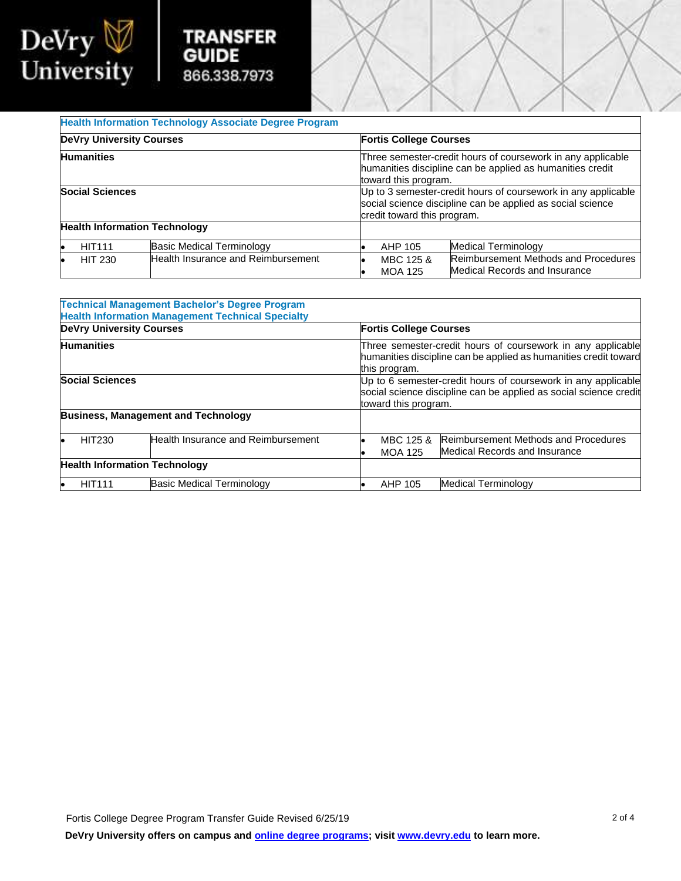



|                                      |                                    |                             | popular opiorito dilocipiirto carrillo applica ao opoiar colorito<br>credit toward this program. |  |  |  |
|--------------------------------------|------------------------------------|-----------------------------|--------------------------------------------------------------------------------------------------|--|--|--|
| <b>Health Information Technology</b> |                                    |                             |                                                                                                  |  |  |  |
| <b>HIT111</b>                        | Basic Medical Terminology          | AHP 105                     | Medical Terminology                                                                              |  |  |  |
| <b>HIT 230</b>                       | Health Insurance and Reimbursement | MBC 125 &<br><b>MOA 125</b> | <b>Reimbursement Methods and Procedures</b><br>Medical Records and Insurance                     |  |  |  |

|                                      | <b>Technical Management Bachelor's Degree Program</b><br><b>Health Information Management Technical Specialty</b> |                                                                                                                                                            |                                                                              |  |
|--------------------------------------|-------------------------------------------------------------------------------------------------------------------|------------------------------------------------------------------------------------------------------------------------------------------------------------|------------------------------------------------------------------------------|--|
| <b>DeVry University Courses</b>      |                                                                                                                   | <b>Fortis College Courses</b>                                                                                                                              |                                                                              |  |
| <b>Humanities</b>                    |                                                                                                                   | Three semester-credit hours of coursework in any applicable<br>humanities discipline can be applied as humanities credit toward<br>this program.           |                                                                              |  |
| <b>Social Sciences</b>               |                                                                                                                   | Up to 6 semester-credit hours of coursework in any applicable<br>social science discipline can be applied as social science credit<br>toward this program. |                                                                              |  |
|                                      | <b>Business, Management and Technology</b>                                                                        |                                                                                                                                                            |                                                                              |  |
| HIT230                               | Health Insurance and Reimbursement                                                                                | MBC 125 &<br><b>MOA 125</b>                                                                                                                                | <b>Reimbursement Methods and Procedures</b><br>Medical Records and Insurance |  |
| <b>Health Information Technology</b> |                                                                                                                   |                                                                                                                                                            |                                                                              |  |
| <b>HIT111</b>                        | <b>Basic Medical Terminology</b>                                                                                  | AHP 105                                                                                                                                                    | Medical Terminology                                                          |  |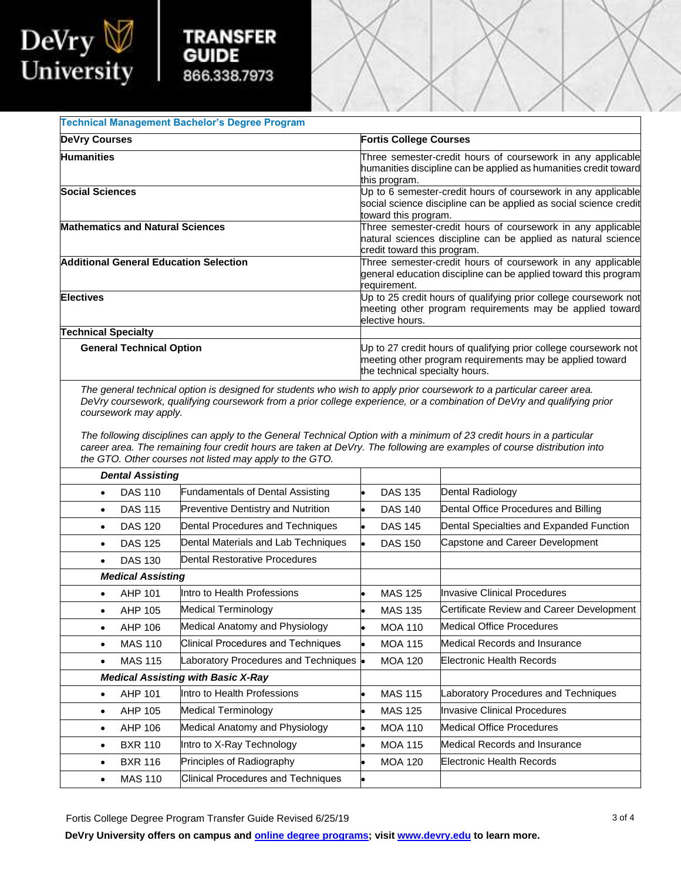

## **TRANSFER GUIDE** 866.338.7973

| <b>Technical Management Bachelor's Degree Program</b> |                                                                                                                                                                |  |  |  |  |
|-------------------------------------------------------|----------------------------------------------------------------------------------------------------------------------------------------------------------------|--|--|--|--|
| <b>DeVry Courses</b>                                  | <b>Fortis College Courses</b>                                                                                                                                  |  |  |  |  |
| <b>Humanities</b>                                     | Three semester-credit hours of coursework in any applicable<br>humanities discipline can be applied as humanities credit toward<br>this program.               |  |  |  |  |
| <b>Social Sciences</b>                                | Up to 6 semester-credit hours of coursework in any applicable<br>social science discipline can be applied as social science credit<br>toward this program.     |  |  |  |  |
| <b>Mathematics and Natural Sciences</b>               | Three semester-credit hours of coursework in any applicable<br>natural sciences discipline can be applied as natural science<br>credit toward this program.    |  |  |  |  |
| Additional General Education Selection                | Three semester-credit hours of coursework in any applicable<br>general education discipline can be applied toward this program<br>requirement.                 |  |  |  |  |
| <b>Electives</b>                                      | Up to 25 credit hours of qualifying prior college coursework not<br>meeting other program requirements may be applied toward<br>elective hours.                |  |  |  |  |
| <b>Technical Specialty</b>                            |                                                                                                                                                                |  |  |  |  |
| <b>General Technical Option</b>                       | Up to 27 credit hours of qualifying prior college coursework not<br>meeting other program requirements may be applied toward<br>the technical specialty hours. |  |  |  |  |

coursework may apply. *The general technical option is designed for students who wish to apply prior coursework to a particular career area. DeVry coursework, qualifying coursework from a prior college experience, or a combination of DeVry and qualifying prior* 

The following disciplines can apply to the General Technical Option with a minimum of 23 credit hours in a particular *career area. The remaining four credit hours are taken at DeVry. The following are examples of course distribution into the GTO. Other courses not listed may apply to the GTO.* 

| <b>Dental Assisting</b>                   |                                           |                |                                           |
|-------------------------------------------|-------------------------------------------|----------------|-------------------------------------------|
| <b>DAS 110</b><br>$\bullet$               | <b>Fundamentals of Dental Assisting</b>   | <b>DAS 135</b> | Dental Radiology                          |
| <b>DAS 115</b><br>$\bullet$               | <b>Preventive Dentistry and Nutrition</b> | <b>DAS 140</b> | Dental Office Procedures and Billing      |
| <b>DAS 120</b><br>$\bullet$               | Dental Procedures and Techniques          | <b>DAS 145</b> | Dental Specialties and Expanded Function  |
| <b>DAS 125</b><br>$\bullet$               | Dental Materials and Lab Techniques       | <b>DAS 150</b> | Capstone and Career Development           |
| <b>DAS 130</b><br>$\bullet$               | Dental Restorative Procedures             |                |                                           |
| <b>Medical Assisting</b>                  |                                           |                |                                           |
| AHP 101<br>$\bullet$                      | Intro to Health Professions               | <b>MAS 125</b> | <b>Invasive Clinical Procedures</b>       |
| AHP 105<br>$\bullet$                      | Medical Terminology                       | <b>MAS 135</b> | Certificate Review and Career Development |
| AHP 106<br>$\bullet$                      | Medical Anatomy and Physiology            | <b>MOA 110</b> | Medical Office Procedures                 |
| <b>MAS 110</b><br>$\bullet$               | <b>Clinical Procedures and Techniques</b> | <b>MOA 115</b> | Medical Records and Insurance             |
| <b>MAS 115</b><br>$\bullet$               | Laboratory Procedures and Techniques .    | <b>MOA 120</b> | Electronic Health Records                 |
| <b>Medical Assisting with Basic X-Ray</b> |                                           |                |                                           |
| AHP 101<br>$\bullet$                      | Intro to Health Professions               | <b>MAS 115</b> | Laboratory Procedures and Techniques      |
| AHP 105<br>$\bullet$                      | Medical Terminology                       | <b>MAS 125</b> | Invasive Clinical Procedures              |
| AHP 106<br>$\bullet$                      | Medical Anatomy and Physiology            | <b>MOA 110</b> | <b>Medical Office Procedures</b>          |
| <b>BXR 110</b><br>$\bullet$               | Intro to X-Ray Technology                 | <b>MOA 115</b> | Medical Records and Insurance             |
| <b>BXR 116</b><br>$\bullet$               | Principles of Radiography                 | <b>MOA 120</b> | Electronic Health Records                 |
| <b>MAS 110</b>                            | <b>Clinical Procedures and Techniques</b> |                |                                           |

Fortis College Degree Program Transfer Guide Revised 6/25/19

**DeVry University offers on campus and [online degree programs;](https://www.devry.edu/online-programs/area-of-study.html) visi[t www.devry.edu](http://www.devry.edu/) to learn more.**